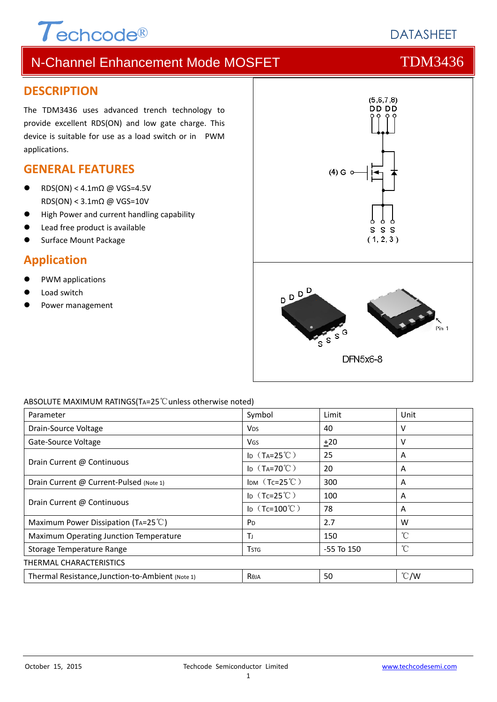# $\tau$ echcode®

# N-Channel Enhancement Mode MOSFET THE TOM3436

### **DESCRIPTION**

The TDM3436 uses advanced trench technology to provide excellent RDS(ON) and low gate charge. This device is suitable for use as a load switch or in PWM applications.

## **GENERAL FEATURES**

- RDS(ON) <  $4.1 \text{m}\Omega$  @ VGS=4.5V RDS(ON) < 3.1mΩ @ VGS=10V
- High Power and current handling capability
- Lead free product is available
- Surface Mount Package

# **Application**

- PWM applications
- Load switch
- Power management



### ABSOLUTE MAXIMUM RATINGS(TA=25℃unless otherwise noted)

| Parameter                                        | Symbol                              | Limit          | Unit          |  |  |
|--------------------------------------------------|-------------------------------------|----------------|---------------|--|--|
| Drain-Source Voltage                             | <b>V<sub>DS</sub></b>               | 40             | ν             |  |  |
| Gate-Source Voltage                              | VGS                                 | $+20$          | v             |  |  |
| Drain Current @ Continuous                       | ID $(T_A=25^{\circ}\text{C})$       | 25             | A             |  |  |
|                                                  | I <sub>D</sub> $(T_A=70^{\circ}$ C) | 20             | A             |  |  |
| Drain Current @ Current-Pulsed (Note 1)          | IDM $(Tc=25^{\circ}C)$              | 300            | A             |  |  |
| Drain Current @ Continuous                       | ID $(Tc=25^{\circ}C)$               | 100            | A             |  |  |
|                                                  | ID $(Tc=100^{\circ}C)$              | 78             | A             |  |  |
| Maximum Power Dissipation (TA=25 $^{\circ}$ C)   | P <sub>D</sub>                      | 2.7            | W             |  |  |
| Maximum Operating Junction Temperature           | ΤJ                                  | 150            | $^{\circ}C$   |  |  |
| Storage Temperature Range                        | <b>T</b> stg                        | $-55$ To $150$ | °C            |  |  |
| THERMAL CHARACTERISTICS                          |                                     |                |               |  |  |
| Thermal Resistance, Junction-to-Ambient (Note 1) | Reja                                | 50             | $\degree$ C/W |  |  |

**DATASHEET**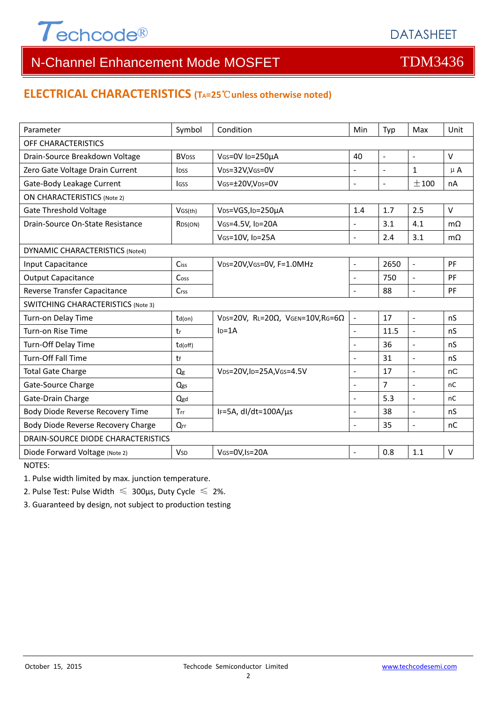

# **ELECTRICAL CHARACTERISTICS (TA=25**℃**unless otherwise noted)**

| Parameter                                 | Symbol                  | Condition                                         | Min                      | Typ            | Max                      | Unit      |  |  |
|-------------------------------------------|-------------------------|---------------------------------------------------|--------------------------|----------------|--------------------------|-----------|--|--|
| OFF CHARACTERISTICS                       |                         |                                                   |                          |                |                          |           |  |  |
| Drain-Source Breakdown Voltage            | <b>BVDSS</b>            | VGS=0V ID=250µA                                   | 40                       | $\blacksquare$ | $\blacksquare$           | $\vee$    |  |  |
| Zero Gate Voltage Drain Current           | <b>l</b> <sub>DSS</sub> | VDS=32V,VGS=0V                                    |                          |                | $\mathbf 1$              | $\mu$ A   |  |  |
| Gate-Body Leakage Current                 | lgss                    | VGS=±20V,VDS=0V                                   | $\overline{a}$           | $\blacksquare$ | ±100                     | nA        |  |  |
| <b>ON CHARACTERISTICS (Note 2)</b>        |                         |                                                   |                          |                |                          |           |  |  |
| <b>Gate Threshold Voltage</b>             | VGS(th)                 | VDS=VGS, ID=250µA                                 | 1.4                      | 1.7            | 2.5                      | $\vee$    |  |  |
| Drain-Source On-State Resistance          | RDS(ON)                 | VGS=4.5V, ID=20A                                  |                          | 3.1            | 4.1                      | $m\Omega$ |  |  |
|                                           |                         | VGS=10V, ID=25A                                   | $\overline{a}$           | 2.4            | 3.1                      | $m\Omega$ |  |  |
| <b>DYNAMIC CHARACTERISTICS (Note4)</b>    |                         |                                                   |                          |                |                          |           |  |  |
| Input Capacitance                         | Ciss                    | VDS=20V, VGS=0V, F=1.0MHz                         | $\blacksquare$           | 2650           | $\overline{\phantom{a}}$ | PF        |  |  |
| <b>Output Capacitance</b>                 | Coss                    |                                                   | $\overline{\phantom{a}}$ | 750            | $\bar{\phantom{a}}$      | PF        |  |  |
| Reverse Transfer Capacitance              | Crss                    |                                                   | $\overline{\phantom{a}}$ | 88             | $\overline{\phantom{a}}$ | PF        |  |  |
| <b>SWITCHING CHARACTERISTICS (Note 3)</b> |                         |                                                   |                          |                |                          |           |  |  |
| Turn-on Delay Time                        | $td($ on $)$            | VDS=20V, RL=20 $\Omega$ , VGEN=10V, RG=6 $\Omega$ | $\blacksquare$           | 17             | $\mathbb{L}$             | nS        |  |  |
| Turn-on Rise Time                         | tr                      | $ID=1A$                                           | $\overline{a}$           | 11.5           | $\overline{\phantom{a}}$ | nS        |  |  |
| Turn-Off Delay Time                       | $td($ off $)$           |                                                   |                          | 36             | $\sim$                   | nS        |  |  |
| Turn-Off Fall Time                        | tf                      |                                                   | $\overline{a}$           | 31             | $\sim$                   | nS        |  |  |
| <b>Total Gate Charge</b>                  | $Q_g$                   | VDS=20V,ID=25A,VGS=4.5V                           |                          | 17             | $\blacksquare$           | nC        |  |  |
| Gate-Source Charge                        | Qgs                     |                                                   | $\blacksquare$           | $\overline{7}$ | $\bar{\phantom{a}}$      | nC        |  |  |
| Gate-Drain Charge                         | Qgd                     |                                                   | $\blacksquare$           | 5.3            | $\mathbf{r}$             | nC        |  |  |
| Body Diode Reverse Recovery Time          | Trr                     | IF=5A, dl/dt=100A/us                              | $\overline{a}$           | 38             | $\overline{a}$           | nS        |  |  |
| Body Diode Reverse Recovery Charge        | Qrr                     |                                                   | L.                       | 35             | $\overline{a}$           | nC        |  |  |
| DRAIN-SOURCE DIODE CHARACTERISTICS        |                         |                                                   |                          |                |                          |           |  |  |
| Diode Forward Voltage (Note 2)            | <b>V<sub>SD</sub></b>   | VGS=0V,Is=20A                                     | $\blacksquare$           | 0.8            | 1.1                      | $\vee$    |  |  |

NOTES:

1. Pulse width limited by max. junction temperature.

2. Pulse Test: Pulse Width  $\leq 300$ μs, Duty Cycle  $\leq 2\%$ .

3. Guaranteed by design, not subject to production testing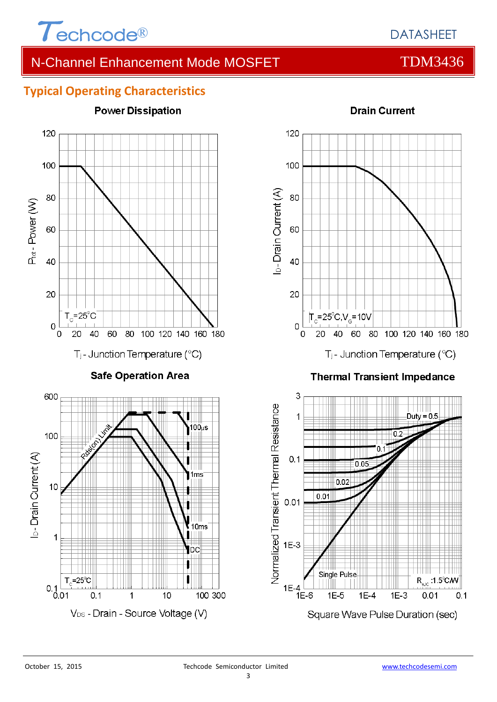

# **Typical Operating Characteristics**



<sup>120</sup> 100 D-Drain Current (A) 80 60 40 20  $|T_c = 25^{\circ}C$ ,  $V_c = 10V$  $\overline{O}$ 40 60 80 100 120 140 160 180 20 0 T<sub>j</sub>- Junction Temperature (°C)

# **Drain Current**

### **Thermal Transient Impedance**

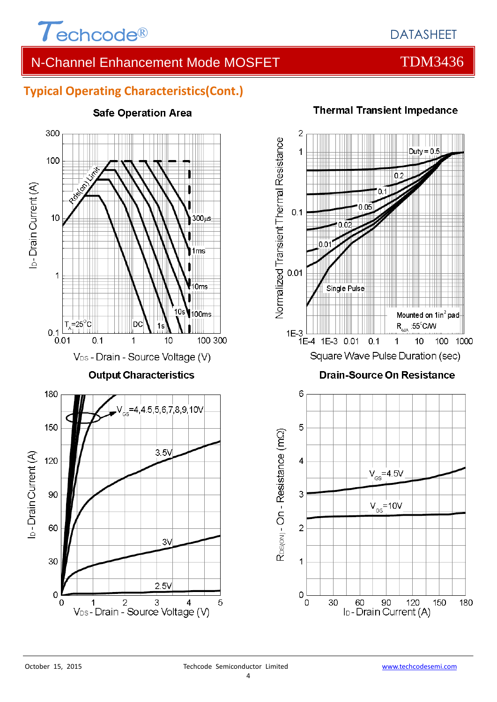

# **Typical Operating Characteristics(Cont.)**



### **Safe Operation Area**

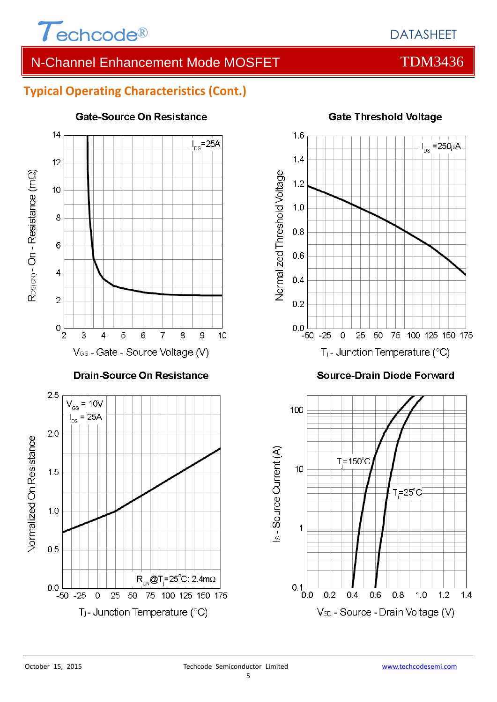

# **Typical Operating Characteristics (Cont.)**



### **Gate-Source On Resistance**



### **Source-Drain Diode Forward**

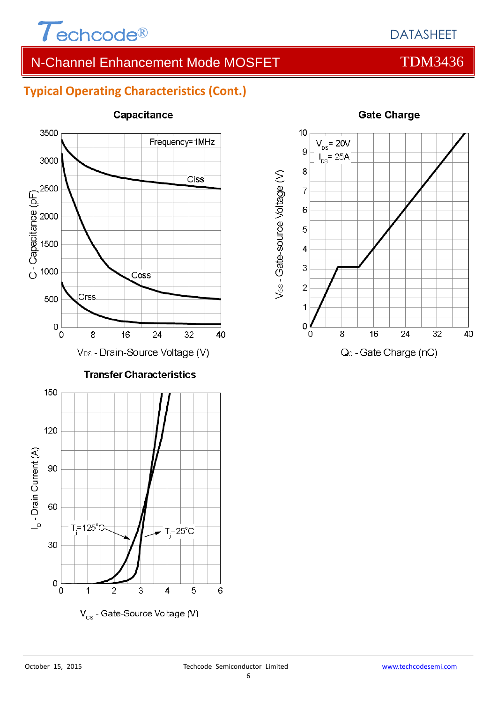

# **Typical Operating Characteristics (Cont.)**



### **Capacitance**



### **Gate Charge**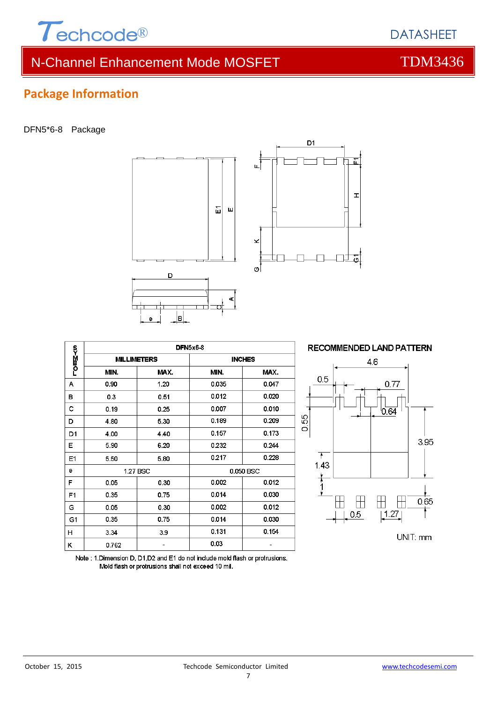

# **Package Information**

### DFN5\*6-8 Package



|        | <b>DFN5x6-8</b>    |      |               |       |  |  |
|--------|--------------------|------|---------------|-------|--|--|
| romM≺o | <b>MILLIMETERS</b> |      | <b>INCHES</b> |       |  |  |
|        | MIN.               | MAX. | MIN.          | MAX.  |  |  |
| А      | 0.90               | 1.20 | 0.035         | 0.047 |  |  |
| в      | 0.3                | 0.51 | 0.012         | 0.020 |  |  |
| c      | 0.19               | 0.25 | 0.007         | 0.010 |  |  |
| D      | 4.80               | 5.30 | 0.189         | 0.209 |  |  |
| D1     | 4.00               | 4.40 | 0.157         | 0.173 |  |  |
| Е      | 5.90               | 6.20 | 0.232         | 0.244 |  |  |
| E1     | 5.50               | 5.80 | 0.217         | 0.228 |  |  |
| е      | 1.27 BSC           |      | 0.050 BSC     |       |  |  |
| F      | 0.05               | 0.30 | 0.002         | 0.012 |  |  |
| F1     | 0.35               | 0.75 | 0.014         | 0.030 |  |  |
| G      | 0.05               | 0.30 | 0.002         | 0.012 |  |  |
| G1     | 0.35               | 0.75 | 0.014         | 0.030 |  |  |
| н      | 3.34               | 3.9  | 0.131         | 0.154 |  |  |
| κ      | 0.762              |      | 0.03          |       |  |  |

### **RECOMMENDED LAND PATTERN** 4.6  $0.5$  $0.77$  $0.64$ 0.55 3.95  $\overline{\phantom{a}}$ 1.43  $rac{1}{1}$  $\pm$  $\pm$  $\Box$  $\top$ 0.65 î  $\left\lfloor 1.27 \right\rfloor$  $0.5$ UNIT: mm

죠

 $\mathbf{r}$ 

Note : 1. Dimension D, D1, D2 and E1 do not include mold flash or protrusions. Mold flash or protrusions shall not exceed 10 mil.



DATASHEET